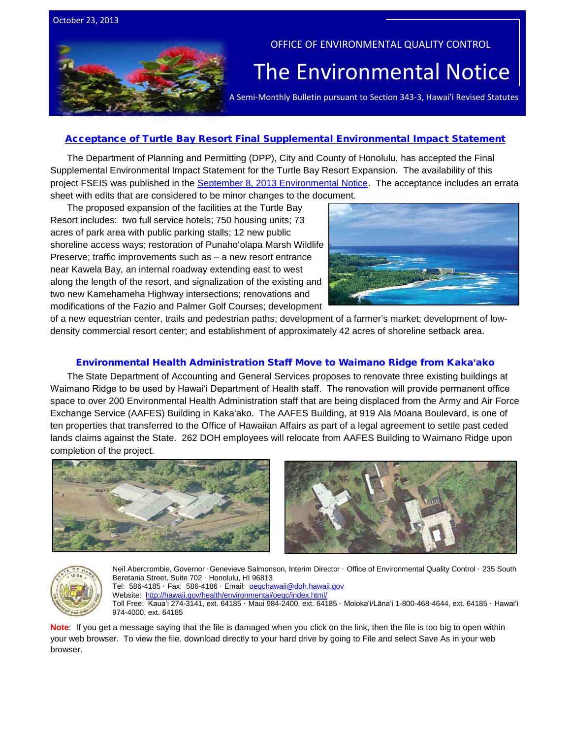



## OFFICE OF ENVIRONMENTAL QUALITY CONTROL

# The Environmental Notice  $|$ <br>A Semi-Monthly Bulletin pursuant to Section 343-3, Hawai'i Revised Statutes

#### [Acceptance of Turtle Bay Resort Final Supplemental Environmental Impact Statement](http://oeqc.doh.hawaii.gov/Shared%20Documents/EA_and_EIS_Online_Library/Oahu/2010s/2013-10-23-OA-5E-FSEIS-Turtle-Bay-Expansion-Acceptance-by-City-and-County-of-Honolulu.pdf)

The Department of Planning and Permitting (DPP), City and County of Honolulu, has accepted the Final Supplemental Environmental Impact Statement for the Turtle Bay Resort Expansion. The availability of this project FSEIS was published in the [September 8, 2013 Environmental Notice.](http://oeqc.doh.hawaii.gov/Shared%20Documents/Environmental_Notice/Archives/2010s/2013-09-08.pdf) The acceptance includes an errata sheet with edits that are considered to be minor changes to the document.

The proposed expansion of the facilities at the Turtle Bay Resort includes: two full service hotels; 750 housing units; 73 acres of park area with public parking stalls; 12 new public shoreline access ways; restoration of Punahoʻolapa Marsh Wildlife Preserve; traffic improvements such as – a new resort entrance near Kawela Bay, an internal roadway extending east to west along the length of the resort, and signalization of the existing and two new Kamehameha Highway intersections; renovations and modifications of the Fazio and Palmer Golf Courses; development



of a new equestrian center, trails and pedestrian paths; development of a farmer's market; development of lowdensity commercial resort center; and establishment of approximately 42 acres of shoreline setback area.

#### [Environmental Health Administration](http://oeqc.doh.hawaii.gov/Shared%20Documents/EA_and_EIS_Online_Library/Oahu/2010s/2013-10-23-OA-5E-DEA-Waimano-Ridge-Building-Relocation-due-to-Relocation-of-DOH-Staff.pdf) Staff Move to Waimano Ridge from Kaka**ʻ**ako

The State Department of Accounting and General Services proposes to renovate three existing buildings at Waimano Ridge to be used by Hawaiʻi Department of Health staff. The renovation will provide permanent office space to over 200 Environmental Health Administration staff that are being displaced from the Army and Air Force Exchange Service (AAFES) Building in Kakaʻako. The AAFES Building, at 919 Ala Moana Boulevard, is one of ten properties that transferred to the Office of Hawaiian Affairs as part of a legal agreement to settle past ceded lands claims against the State. 262 DOH employees will relocate from AAFES Building to Waimano Ridge upon completion of the project.







Neil Abercrombie, Governor ·Genevieve Salmonson, Interim Director · Office of Environmental Quality Control · 235 South Beretania Street, Suite 702 · Honolulu, HI 96813 Tel: 586-4185 · Fax: 586-4186 · Email: [oeqchawaii@doh.hawaii.gov](mailto:oeqchawaii@doh.hawaii.gov)  Website:<http://hawaii.gov/health/environmental/oeqc/index.html/> Toll Free: Kauaʻi 274-3141, ext. 64185 · Maui 984-2400, ext. 64185 · Molokaʻi/Lānaʻi 1-800-468-4644, ext. 64185 · Hawaiʻi 974-4000, ext. 64185

**Note**: If you get a message saying that the file is damaged when you click on the link, then the file is too big to open within your web browser. To view the file, download directly to your hard drive by going to File and select Save As in your web browser.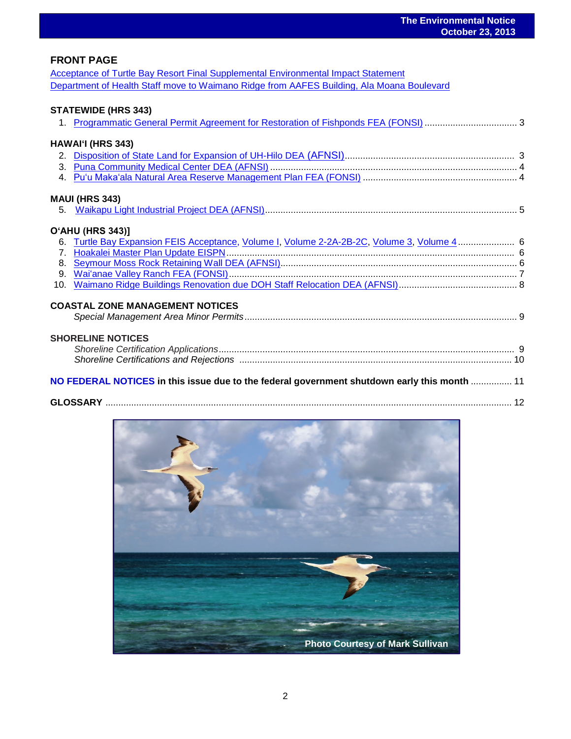## **FRONT PAGE**

[Acceptance of Turtle Bay Resort Final Supplemental Environmental Impact Statement](http://oeqc.doh.hawaii.gov/Shared%20Documents/EA_and_EIS_Online_Library/Oahu/2010s/2013-10-23-OA-5E-FSEIS-Turtle-Bay-Expansion-Acceptance-by-City-and-County-of-Honolulu.pdf) [Department of Health Staff move to Waimano Ridge from AAFES](http://oeqc.doh.hawaii.gov/Shared%20Documents/EA_and_EIS_Online_Library/Oahu/2010s/2013-10-23-OA-5E-DEA-Waimano-Ridge-Building-Relocation-due-to-Relocation-of-DOH-Staff.pdf) Building, Ala Moana Boulevard

## **STATEWIDE (HRS 343)**

| HAWAI'I (HRS 343)                                                                               |  |
|-------------------------------------------------------------------------------------------------|--|
|                                                                                                 |  |
|                                                                                                 |  |
|                                                                                                 |  |
| <b>MAUI (HRS 343)</b>                                                                           |  |
|                                                                                                 |  |
|                                                                                                 |  |
| <b>O'AHU (HRS 343)]</b>                                                                         |  |
| 6. Turtle Bay Expansion FEIS Acceptance, Volume I, Volume 2-2A-2B-2C, Volume 3, Volume 4  6     |  |
|                                                                                                 |  |
|                                                                                                 |  |
|                                                                                                 |  |
|                                                                                                 |  |
|                                                                                                 |  |
| <b>COASTAL ZONE MANAGEMENT NOTICES</b>                                                          |  |
|                                                                                                 |  |
|                                                                                                 |  |
| <b>SHORELINE NOTICES</b>                                                                        |  |
|                                                                                                 |  |
|                                                                                                 |  |
|                                                                                                 |  |
| 11 NO FEDERAL NOTICES in this issue due to the federal government shutdown early this month  11 |  |
|                                                                                                 |  |
|                                                                                                 |  |

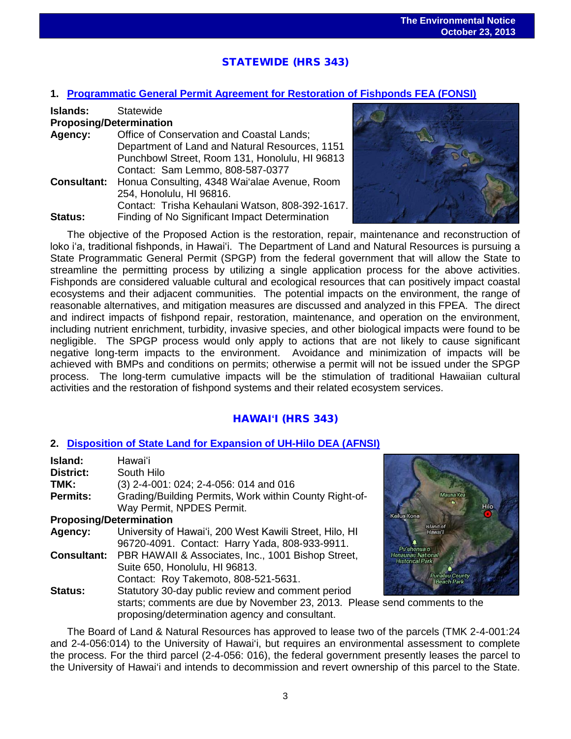# STATEWIDE (HRS 343)

#### **1. [Programmatic General Permit Agreement for Restoration of Fishponds](http://oeqc.doh.hawaii.gov/Shared%20Documents/EA_and_EIS_Online_Library/Statewide/2010s/2013-10-23-ST-5B-FEA-Programmatic-General-Permit-Agreement-for-Restoration-of-Fishponds.pdf) FEA (FONSI)**

| <b>Islands:</b>                | Statewide                                       |
|--------------------------------|-------------------------------------------------|
| <b>Proposing/Determination</b> |                                                 |
| Agency:                        | Office of Conservation and Coastal Lands;       |
|                                | Department of Land and Natural Resources, 1151  |
|                                | Punchbowl Street, Room 131, Honolulu, HI 96813  |
|                                | Contact: Sam Lemmo, 808-587-0377                |
| <b>Consultant:</b>             | Honua Consulting, 4348 Wai'alae Avenue, Room    |
|                                | 254, Honolulu, HI 96816.                        |
|                                | Contact: Trisha Kehaulani Watson, 808-392-1617. |
| Status:                        | Finding of No Significant Impact Determination  |



The objective of the Proposed Action is the restoration, repair, maintenance and reconstruction of loko iʻa, traditional fishponds, in Hawaiʻi. The Department of Land and Natural Resources is pursuing a State Programmatic General Permit (SPGP) from the federal government that will allow the State to streamline the permitting process by utilizing a single application process for the above activities. Fishponds are considered valuable cultural and ecological resources that can positively impact coastal ecosystems and their adjacent communities. The potential impacts on the environment, the range of reasonable alternatives, and mitigation measures are discussed and analyzed in this FPEA. The direct and indirect impacts of fishpond repair, restoration, maintenance, and operation on the environment, including nutrient enrichment, turbidity, invasive species, and other biological impacts were found to be negligible. The SPGP process would only apply to actions that are not likely to cause significant negative long-term impacts to the environment. Avoidance and minimization of impacts will be achieved with BMPs and conditions on permits; otherwise a permit will not be issued under the SPGP process. The long-term cumulative impacts will be the stimulation of traditional Hawaiian cultural activities and the restoration of fishpond systems and their related ecosystem services.

## HAWAI**ʻ**I (HRS 343)

#### **2. [Disposition of State Land for Expansion of UH-Hilo DEA \(AFNSI\)](http://oeqc.doh.hawaii.gov/Shared%20Documents/EA_and_EIS_Online_Library/Hawaii/2010s/2013-10-23-HA-5B-DEA-Disposition-of-Land-for-Exapansion-of-UH-Hilo.pdf)**

| Island:                        | Hawai'i                                                               |                     |
|--------------------------------|-----------------------------------------------------------------------|---------------------|
| <b>District:</b>               | South Hilo                                                            |                     |
| TMK:                           | (3) 2-4-001: 024; 2-4-056: 014 and 016                                |                     |
| <b>Permits:</b>                | Grading/Building Permits, Work within County Right-of-                |                     |
|                                | Way Permit, NPDES Permit.                                             |                     |
| <b>Proposing/Determination</b> |                                                                       | Kailua              |
| Agency:                        | University of Hawai'i, 200 West Kawili Street, Hilo, HI               |                     |
|                                | 96720-4091. Contact: Harry Yada, 808-933-9911.                        | P <sub>t</sub>      |
|                                | <b>Consultant:</b> PBR HAWAII & Associates, Inc., 1001 Bishop Street, | Honai<br><b>His</b> |
|                                | Suite 650, Honolulu, HI 96813.                                        |                     |
|                                | Contact: Roy Takemoto, 808-521-5631.                                  |                     |
| <b>Status:</b>                 | Statutory 30-day public review and comment period                     |                     |
|                                | starts; comments are due by November 23, 2013. Please send            |                     |
|                                | proposing/determination agency and consultant                         |                     |



comments to the proposing/determination agency and consultant.

The Board of Land & Natural Resources has approved to lease two of the parcels (TMK 2-4-001:24 and 2-4-056:014) to the University of Hawai'i, but requires an environmental assessment to complete the process. For the third parcel (2-4-056: 016), the federal government presently leases the parcel to the University of Hawai'i and intends to decommission and revert ownership of this parcel to the State.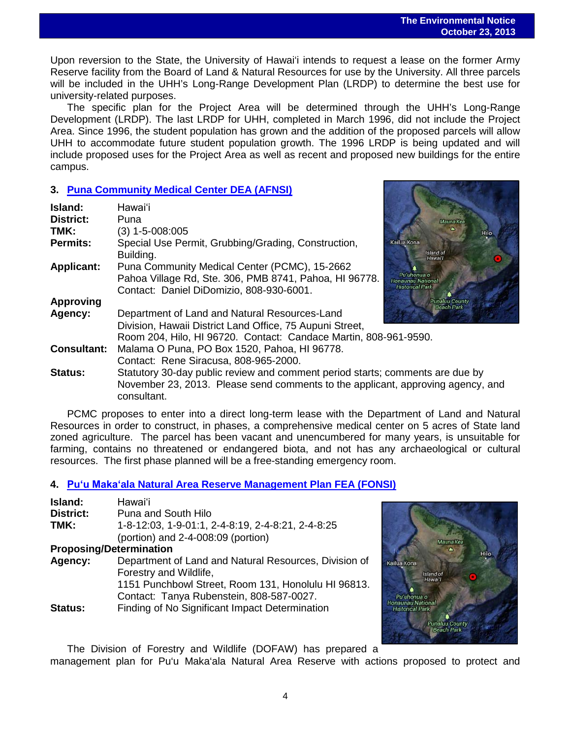Upon reversion to the State, the University of Hawai'i intends to request a lease on the former Army Reserve facility from the Board of Land & Natural Resources for use by the University. All three parcels will be included in the UHH's Long-Range Development Plan (LRDP) to determine the best use for university-related purposes.

The specific plan for the Project Area will be determined through the UHH's Long-Range Development (LRDP). The last LRDP for UHH, completed in March 1996, did not include the Project Area. Since 1996, the student population has grown and the addition of the proposed parcels will allow UHH to accommodate future student population growth. The 1996 LRDP is being updated and will include proposed uses for the Project Area as well as recent and proposed new buildings for the entire campus.

## **3. [Puna Community Medical Center](http://oeqc.doh.hawaii.gov/Shared%20Documents/EA_and_EIS_Online_Library/Hawaii/2010s/2013-10-23-HA-5E-DEA-Puna-Community-Medical-Center.pdf) DEA (AFNSI)**

| Island:            | Hawai'i                                                                         |                                     |
|--------------------|---------------------------------------------------------------------------------|-------------------------------------|
| <b>District:</b>   | Puna                                                                            | Mauna Kea                           |
| TMK:               | $(3)$ 1-5-008:005                                                               |                                     |
| <b>Permits:</b>    | Special Use Permit, Grubbing/Grading, Construction,                             | Kailua Kona                         |
|                    | Building.                                                                       | Island of<br>Hawai'l                |
| <b>Applicant:</b>  | Puna Community Medical Center (PCMC), 15-2662                                   |                                     |
|                    | Pahoa Village Rd, Ste. 306, PMB 8741, Pahoa, HI 96778.                          | Pu'uhonua o<br>Jonaunau National    |
|                    | Contact: Daniel DiDomizio, 808-930-6001.                                        | <b>Historical Park</b>              |
| <b>Approving</b>   |                                                                                 | Punaluu County<br><b>Beach Park</b> |
| Agency:            | Department of Land and Natural Resources-Land                                   |                                     |
|                    | Division, Hawaii District Land Office, 75 Aupuni Street,                        |                                     |
|                    | Room 204, Hilo, HI 96720. Contact: Candace Martin, 808-961-9590.                |                                     |
| <b>Consultant:</b> | Malama O Puna, PO Box 1520, Pahoa, HI 96778.                                    |                                     |
|                    | Contact: Rene Siracusa, 808-965-2000.                                           |                                     |
| <b>Status:</b>     | Statutory 30-day public review and comment period starts; comments are due by   |                                     |
|                    | November 23, 2013. Please send comments to the applicant, approving agency, and |                                     |
|                    | consultant.                                                                     |                                     |

PCMC proposes to enter into a direct long-term lease with the Department of Land and Natural Resources in order to construct, in phases, a comprehensive medical center on 5 acres of State land zoned agriculture. The parcel has been vacant and unencumbered for many years, is unsuitable for farming, contains no threatened or endangered biota, and not has any archaeological or cultural resources. The first phase planned will be a free-standing emergency room.

## **4. Puʻu Makaʻ[ala Natural Area Reserve Management Plan FEA \(FONSI\)](http://oeqc.doh.hawaii.gov/Shared%20Documents/EA_and_EIS_Online_Library/Hawaii/2010s/2013-10-23-HA-5B-FEA-Puu-Makaala-Reserve.pdf)**

| Island:                        | Hawai'i                                               |
|--------------------------------|-------------------------------------------------------|
| <b>District:</b>               | Puna and South Hilo                                   |
| TMK:                           | 1-8-12:03, 1-9-01:1, 2-4-8:19, 2-4-8:21, 2-4-8:25     |
|                                | (portion) and $2-4-008:09$ (portion)                  |
| <b>Proposing/Determination</b> |                                                       |
| Agency:                        | Department of Land and Natural Resources, Division of |
|                                | Forestry and Wildlife,                                |
|                                | 1151 Punchbowl Street, Room 131, Honolulu HI 96813.   |
|                                | Contact: Tanya Rubenstein, 808-587-0027.              |
| Status:                        | Finding of No Significant Impact Determination        |

The Division of Forestry and Wildlife (DOFAW) has prepared a

management plan for Pu'u Maka'ala Natural Area Reserve with actions proposed to protect and

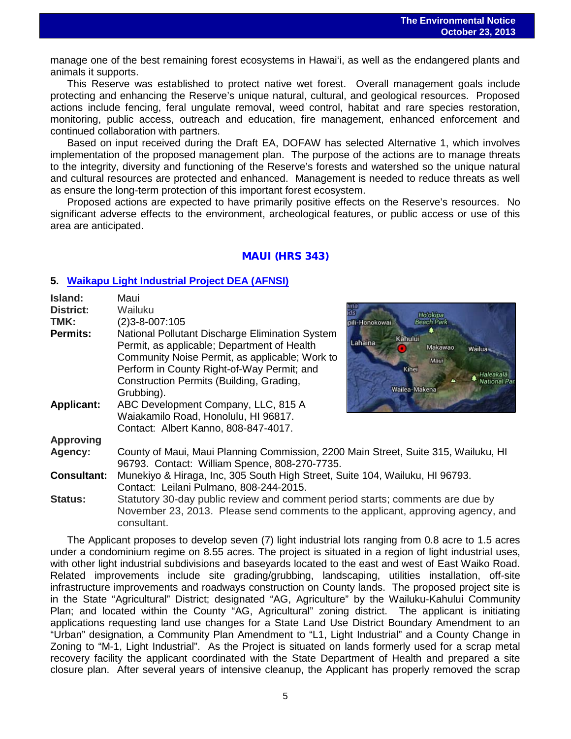manage one of the best remaining forest ecosystems in Hawai'i, as well as the endangered plants and animals it supports.

This Reserve was established to protect native wet forest. Overall management goals include protecting and enhancing the Reserve's unique natural, cultural, and geological resources. Proposed actions include fencing, feral ungulate removal, weed control, habitat and rare species restoration, monitoring, public access, outreach and education, fire management, enhanced enforcement and continued collaboration with partners.

Based on input received during the Draft EA, DOFAW has selected Alternative 1, which involves implementation of the proposed management plan. The purpose of the actions are to manage threats to the integrity, diversity and functioning of the Reserve's forests and watershed so the unique natural and cultural resources are protected and enhanced. Management is needed to reduce threats as well as ensure the long-term protection of this important forest ecosystem.

Proposed actions are expected to have primarily positive effects on the Reserve's resources. No significant adverse effects to the environment, archeological features, or public access or use of this area are anticipated.

## MAUI (HRS 343)

## **5. [Waikapu Light Industrial Project DEA \(AFNSI\)](http://oeqc.doh.hawaii.gov/Shared%20Documents/EA_and_EIS_Online_Library/Maui/2010s/2013-10-23-MA-5E-DEA-Waikapu-Light-Industrial-Project.pdf)**

consultant.

| Island:            | Maui                                                                                                                                                                                                                                                     |                                                                                          |  |
|--------------------|----------------------------------------------------------------------------------------------------------------------------------------------------------------------------------------------------------------------------------------------------------|------------------------------------------------------------------------------------------|--|
| <b>District:</b>   | Wailuku                                                                                                                                                                                                                                                  | Ho'okipa                                                                                 |  |
| TMK:               | $(2)3 - 8 - 007:105$                                                                                                                                                                                                                                     | pili-Honokowai<br><b>Beach Park</b>                                                      |  |
| <b>Permits:</b>    | National Pollutant Discharge Elimination System<br>Permit, as applicable; Department of Health<br>Community Noise Permit, as applicable; Work to<br>Perform in County Right-of-Way Permit; and<br>Construction Permits (Building, Grading,<br>Grubbing). | Kahului<br>Lahaina<br>Makawao<br>Wailua<br>Maur<br>Kihei<br>National Pa<br>Wailea-Makena |  |
| <b>Applicant:</b>  | ABC Development Company, LLC, 815 A<br>Waiakamilo Road, Honolulu, HI 96817.<br>Contact: Albert Kanno, 808-847-4017.                                                                                                                                      |                                                                                          |  |
| <b>Approving</b>   |                                                                                                                                                                                                                                                          |                                                                                          |  |
| Agency:            | County of Maui, Maui Planning Commission, 2200 Main Street, Suite 315, Wailuku, HI<br>96793. Contact: William Spence, 808-270-7735.                                                                                                                      |                                                                                          |  |
| <b>Consultant:</b> | Munekiyo & Hiraga, Inc, 305 South High Street, Suite 104, Wailuku, HI 96793.<br>Contact: Leilani Pulmano, 808-244-2015.                                                                                                                                  |                                                                                          |  |
| <b>Status:</b>     | Statutory 30-day public review and comment period starts; comments are due by<br>November 23, 2013. Please send comments to the applicant, approving agency, and                                                                                         |                                                                                          |  |

The Applicant proposes to develop seven (7) light industrial lots ranging from 0.8 acre to 1.5 acres under a condominium regime on 8.55 acres. The project is situated in a region of light industrial uses, with other light industrial subdivisions and baseyards located to the east and west of East Waiko Road. Related improvements include site grading/grubbing, landscaping, utilities installation, off-site infrastructure improvements and roadways construction on County lands. The proposed project site is in the State "Agricultural" District; designated "AG, Agriculture" by the Wailuku-Kahului Community Plan; and located within the County "AG, Agricultural" zoning district. The applicant is initiating applications requesting land use changes for a State Land Use District Boundary Amendment to an "Urban" designation, a Community Plan Amendment to "L1, Light Industrial" and a County Change in Zoning to "M-1, Light Industrial". As the Project is situated on lands formerly used for a scrap metal recovery facility the applicant coordinated with the State Department of Health and prepared a site closure plan. After several years of intensive cleanup, the Applicant has properly removed the scrap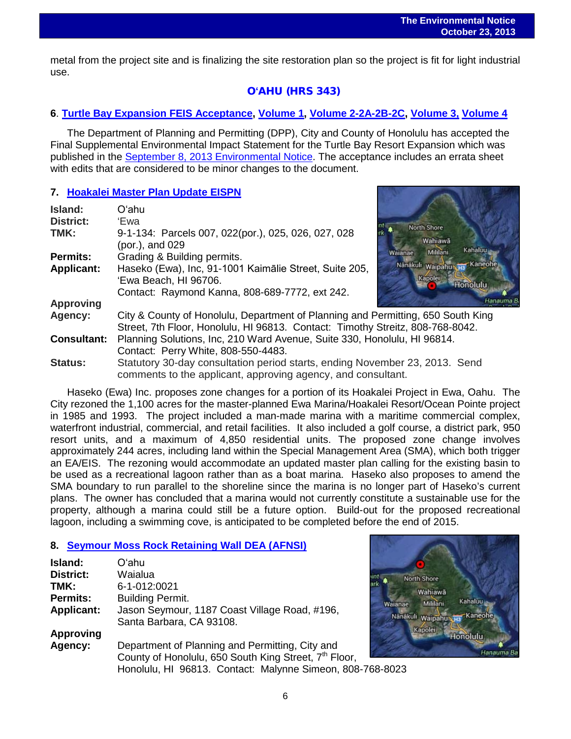metal from the project site and is finalizing the site restoration plan so the project is fit for light industrial use.

## O**ʻ**AHU (HRS 343)

## **6**. **[Turtle Bay Expansion](http://oeqc.doh.hawaii.gov/Shared%20Documents/EA_and_EIS_Online_Library/Oahu/2010s/2013-10-23-OA-5E-FSEIS-Turtle-Bay-Expansion-Acceptance-by-City-and-County-of-Honolulu.pdf) FEIS Acceptance, [Volume 1,](http://oeqc.doh.hawaii.gov/Shared%20Documents/EA_and_EIS_Online_Library/Oahu/2010s/2013-10-23-OA-5E-FSEIS-Turtle-Bay-Resort-Volume-1.pdf) [Volume 2-2A-2B-2C,](http://oeqc.doh.hawaii.gov/Shared%20Documents/EA_and_EIS_Online_Library/Oahu/2010s/2013-09-08-OA-5E-FSEIS-Turtle-Bay-Resort-Volume-2-2A-2B-2C.pdf) [Volume 3,](http://oeqc.doh.hawaii.gov/Shared%20Documents/EA_and_EIS_Online_Library/Oahu/2010s/2013-09-08-OA-5E-FSEIS-Turtle-Bay-Resort-Volume-3.pdf) [Volume 4](http://oeqc.doh.hawaii.gov/Shared%20Documents/EA_and_EIS_Online_Library/Oahu/2010s/2013-10-23-OA-5E-FSEIS-Turtle-Bay-Resort-Volume-4.pdf)**

The Department of Planning and Permitting (DPP), City and County of Honolulu has accepted the Final Supplemental Environmental Impact Statement for the Turtle Bay Resort Expansion which was published in the [September 8, 2013 Environmental](http://oeqc.doh.hawaii.gov/Shared%20Documents/Environmental_Notice/Archives/2010s/2013-09-08.pdf) Notice. The acceptance includes an errata sheet with edits that are considered to be minor changes to the document.

## **7. [Hoakalei Master Plan Update EISPN](http://oeqc.doh.hawaii.gov/Shared%20Documents/EA_and_EIS_Online_Library/Oahu/2010s/2013-10-23-OA-5E-EISPN-Hoakalei-Management-Plan.pdf)**

| Island:            | Oʻahu                                                                                                                                                              |                            |  |
|--------------------|--------------------------------------------------------------------------------------------------------------------------------------------------------------------|----------------------------|--|
| <b>District:</b>   | 'Ewa<br><b>North Shore</b>                                                                                                                                         |                            |  |
| TMK:               | 9-1-134: Parcels 007, 022(por.), 025, 026, 027, 028<br>Wahiawa<br>(por.), and 029<br>Mililani                                                                      | Kahaluu                    |  |
| <b>Permits:</b>    | Waianae<br>Grading & Building permits.                                                                                                                             |                            |  |
| <b>Applicant:</b>  | Nanakuli Waipahu<br>Haseko (Ewa), Inc, 91-1001 Kaimālie Street, Suite 205,<br>Kapolei<br>'Ewa Beach, HI 96706.                                                     | Kaneohe<br><b>Honolulu</b> |  |
|                    | Contact: Raymond Kanna, 808-689-7772, ext 242.                                                                                                                     |                            |  |
| <b>Approving</b>   |                                                                                                                                                                    |                            |  |
| Agency:            | City & County of Honolulu, Department of Planning and Permitting, 650 South King<br>Street, 7th Floor, Honolulu, HI 96813. Contact: Timothy Streitz, 808-768-8042. |                            |  |
| <b>Consultant:</b> | Planning Solutions, Inc, 210 Ward Avenue, Suite 330, Honolulu, HI 96814.<br>Contact: Perry White, 808-550-4483.                                                    |                            |  |
| <b>Status:</b>     | Statutory 30-day consultation period starts, ending November 23, 2013. Send<br>comments to the applicant, approving agency, and consultant.                        |                            |  |

Haseko (Ewa) Inc. proposes zone changes for a portion of its Hoakalei Project in Ewa, Oahu. The City rezoned the 1,100 acres for the master-planned Ewa Marina/Hoakalei Resort/Ocean Pointe project in 1985 and 1993. The project included a man-made marina with a maritime commercial complex, waterfront industrial, commercial, and retail facilities. It also included a golf course, a district park, 950 resort units, and a maximum of 4,850 residential units. The proposed zone change involves approximately 244 acres, including land within the Special Management Area (SMA), which both trigger an EA/EIS. The rezoning would accommodate an updated master plan calling for the existing basin to be used as a recreational lagoon rather than as a boat marina. Haseko also proposes to amend the SMA boundary to run parallel to the shoreline since the marina is no longer part of Haseko's current plans. The owner has concluded that a marina would not currently constitute a sustainable use for the property, although a marina could still be a future option. Build-out for the proposed recreational lagoon, including a swimming cove, is anticipated to be completed before the end of 2015.

## **8. [Seymour Moss Rock Retaining Wall DEA \(AFNSI\)](http://oeqc.doh.hawaii.gov/Shared%20Documents/EA_and_EIS_Online_Library/Oahu/2010s/2013-10-23-OA-5E-DEA-Seymor-Moss-Rock-Retainig-Wall.pdf)**

| <b>Island:</b>    | Oʻahu                                                             |        |
|-------------------|-------------------------------------------------------------------|--------|
| <b>District:</b>  | Waialua                                                           |        |
| TMK:              | 6-1-012:0021                                                      |        |
| <b>Permits:</b>   | <b>Building Permit.</b>                                           |        |
| <b>Applicant:</b> | Jason Seymour, 1187 Coast Village Road, #196,                     | Waiana |
|                   | Santa Barbara, CA 93108.                                          | Nana   |
| <b>Approving</b>  |                                                                   |        |
| Agency:           | Department of Planning and Permitting, City and                   |        |
|                   | County of Honolulu, 650 South King Street, 7 <sup>th</sup> Floor, |        |
|                   | Honolulu, HI 96813. Contact: Malynne Simeon, 808-768-8023         |        |

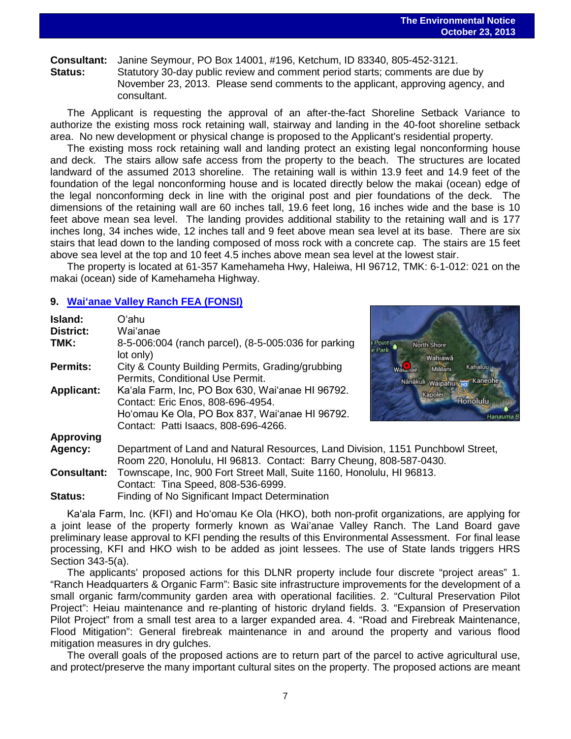## **Consultant:** Janine Seymour, PO Box 14001, #196, Ketchum, ID 83340, 805-452-3121. Statutory 30-day public review and comment period starts; comments are due by November 23, 2013. Please send comments to the applicant, approving agency, and consultant.

The Applicant is requesting the approval of an after-the-fact Shoreline Setback Variance to authorize the existing moss rock retaining wall, stairway and landing in the 40-foot shoreline setback area. No new development or physical change is proposed to the Applicant's residential property.

The existing moss rock retaining wall and landing protect an existing legal nonconforming house and deck. The stairs allow safe access from the property to the beach. The structures are located landward of the assumed 2013 shoreline. The retaining wall is within 13.9 feet and 14.9 feet of the foundation of the legal nonconforming house and is located directly below the makai (ocean) edge of the legal nonconforming deck in line with the original post and pier foundations of the deck. The dimensions of the retaining wall are 60 inches tall, 19.6 feet long, 16 inches wide and the base is 10 feet above mean sea level. The landing provides additional stability to the retaining wall and is 177 inches long, 34 inches wide, 12 inches tall and 9 feet above mean sea level at its base. There are six stairs that lead down to the landing composed of moss rock with a concrete cap. The stairs are 15 feet above sea level at the top and 10 feet 4.5 inches above mean sea level at the lowest stair.

The property is located at 61-357 Kamehameha Hwy, Haleiwa, HI 96712, TMK: 6-1-012: 021 on the makai (ocean) side of Kamehameha Highway.

#### **9. Waiʻ[anae Valley Ranch FEA \(FONSI\)](http://oeqc.doh.hawaii.gov/Shared%20Documents/EA_and_EIS_Online_Library/Oahu/2010s/2013-10-23-OA-5E-FEA-Waianae-Valley-Ranch.pdf)**

| Island:            | Oʻahu                                                                                                                                                 |                                                               |  |
|--------------------|-------------------------------------------------------------------------------------------------------------------------------------------------------|---------------------------------------------------------------|--|
| <b>District:</b>   | Wai'anae                                                                                                                                              |                                                               |  |
| TMK:               | 8-5-006:004 (ranch parcel), (8-5-005:036 for parking<br>lot only)                                                                                     | North Shore<br>Wahiawā                                        |  |
| <b>Permits:</b>    | City & County Building Permits, Grading/grubbing<br>Permits, Conditional Use Permit.                                                                  | Kahaluu<br>Mililani<br>Walanae<br>Kaneohe<br>Nanakuli waipahu |  |
| <b>Applicant:</b>  | Ka'ala Farm, Inc, PO Box 630, Wai'anae HI 96792.<br>Contact: Eric Enos, 808-696-4954.                                                                 | Kapolei<br>Honolulu                                           |  |
|                    | Ho'omau Ke Ola, PO Box 837, Wai'anae HI 96792.<br>Contact: Patti Isaacs, 808-696-4266.                                                                | Hana                                                          |  |
| <b>Approving</b>   |                                                                                                                                                       |                                                               |  |
| Agency:            | Department of Land and Natural Resources, Land Division, 1151 Punchbowl Street,<br>Room 220, Honolulu, HI 96813. Contact: Barry Cheung, 808-587-0430. |                                                               |  |
| <b>Consultant:</b> | Townscape, Inc, 900 Fort Street Mall, Suite 1160, Honolulu, HI 96813.                                                                                 |                                                               |  |
|                    | Contact: Tina Speed, 808-536-6999.                                                                                                                    |                                                               |  |
| <b>Status:</b>     | Finding of No Significant Impact Determination                                                                                                        |                                                               |  |

Kaʻala Farm, Inc. (KFI) and Hoʻomau Ke Ola (HKO), both non-profit organizations, are applying for a joint lease of the property formerly known as Wai'anae Valley Ranch. The Land Board gave preliminary lease approval to KFI pending the results of this Environmental Assessment. For final lease processing, KFI and HKO wish to be added as joint lessees. The use of State lands triggers HRS Section 343-5(a).

The applicants' proposed actions for this DLNR property include four discrete "project areas" 1. "Ranch Headquarters & Organic Farm": Basic site infrastructure improvements for the development of a small organic farm/community garden area with operational facilities. 2. "Cultural Preservation Pilot Project": Heiau maintenance and re-planting of historic dryland fields. 3. "Expansion of Preservation Pilot Project" from a small test area to a larger expanded area. 4. "Road and Firebreak Maintenance, Flood Mitigation": General firebreak maintenance in and around the property and various flood mitigation measures in dry gulches.

The overall goals of the proposed actions are to return part of the parcel to active agricultural use, and protect/preserve the many important cultural sites on the property. The proposed actions are meant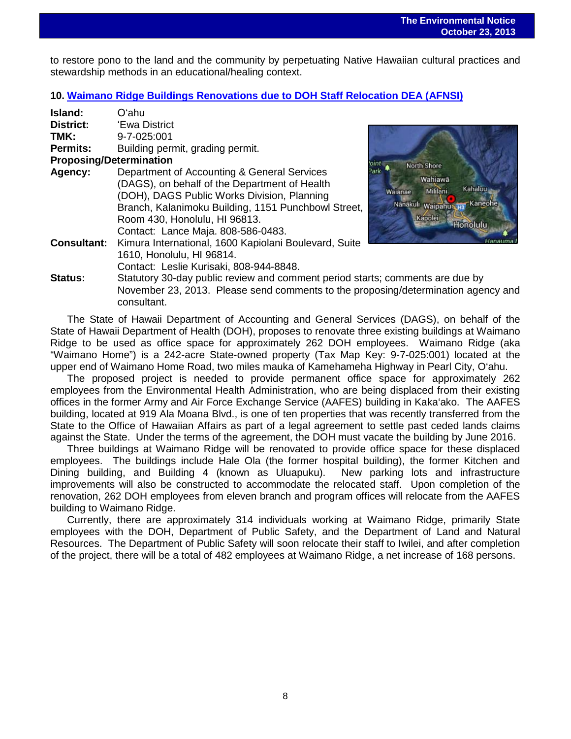**Kahaluu** 

Kaneo

Honolulu

North Shore Wahiawā

inäkuli waipahut

Kapolei

anae

Mililani

 to restore pono to the land and the community by perpetuating Native Hawaiian cultural practices and stewardship methods in an educational/healing context.

#### **10. Waimano Ridge Buildings Renovations [due to DOH Staff Relocation DEA \(AFNSI\)](http://oeqc.doh.hawaii.gov/Shared%20Documents/EA_and_EIS_Online_Library/Oahu/2010s/2013-10-23-OA-5E-DEA-Waimano-Ridge-Building-Relocation-due-to-Relocation-of-DOH-Staff.pdf)**

| Island:                        | Oʻahu                                                                                                                                                                                                                                                                     |            |
|--------------------------------|---------------------------------------------------------------------------------------------------------------------------------------------------------------------------------------------------------------------------------------------------------------------------|------------|
| District:                      | 'Ewa District                                                                                                                                                                                                                                                             |            |
| TMK:                           | 9-7-025:001                                                                                                                                                                                                                                                               |            |
| <b>Permits:</b>                | Building permit, grading permit.                                                                                                                                                                                                                                          |            |
| <b>Proposing/Determination</b> |                                                                                                                                                                                                                                                                           |            |
| Agency:                        | Department of Accounting & General Services<br>(DAGS), on behalf of the Department of Health<br>(DOH), DAGS Public Works Division, Planning<br>Branch, Kalanimoku Building, 1151 Punchbowl Street,<br>Room 430, Honolulu, HI 96813.<br>Contact: Lance Maja. 808-586-0483. | ?ark<br>Wa |
| <b>Consultant:</b>             | Kimura International, 1600 Kapiolani Boulevard, Suite<br>1610, Honolulu, HI 96814.<br>Contact: Leslie Kurisaki, 808-944-8848.                                                                                                                                             |            |
| Status:                        | Statutory 30-day public review and comment period starts; co<br>November 23, 2013. Please send comments to the proposing                                                                                                                                                  |            |

 $s$ mments are due by roposing/determination agency and consultant.

The State of Hawaii Department of Accounting and General Services (DAGS), on behalf of the State of Hawaii Department of Health (DOH), proposes to renovate three existing buildings at Waimano Ridge to be used as office space for approximately 262 DOH employees. Waimano Ridge (aka "Waimano Home") is a 242-acre State-owned property (Tax Map Key: 9-7-025:001) located at the upper end of Waimano Home Road, two miles mauka of Kamehameha Highway in Pearl City, O'ahu.

The proposed project is needed to provide permanent office space for approximately 262 employees from the Environmental Health Administration, who are being displaced from their existing offices in the former Army and Air Force Exchange Service (AAFES) building in Kaka'ako. The AAFES building, located at 919 Ala Moana Blvd., is one of ten properties that was recently transferred from the State to the Office of Hawaiian Affairs as part of a legal agreement to settle past ceded lands claims against the State. Under the terms of the agreement, the DOH must vacate the building by June 2016.

Three buildings at Waimano Ridge will be renovated to provide office space for these displaced employees. The buildings include Hale Ola (the former hospital building), the former Kitchen and Dining building, and Building 4 (known as Uluapuku). New parking lots and infrastructure improvements will also be constructed to accommodate the relocated staff. Upon completion of the renovation, 262 DOH employees from eleven branch and program offices will relocate from the AAFES building to Waimano Ridge.

Currently, there are approximately 314 individuals working at Waimano Ridge, primarily State employees with the DOH, Department of Public Safety, and the Department of Land and Natural Resources. The Department of Public Safety will soon relocate their staff to Iwilei, and after completion of the project, there will be a total of 482 employees at Waimano Ridge, a net increase of 168 persons.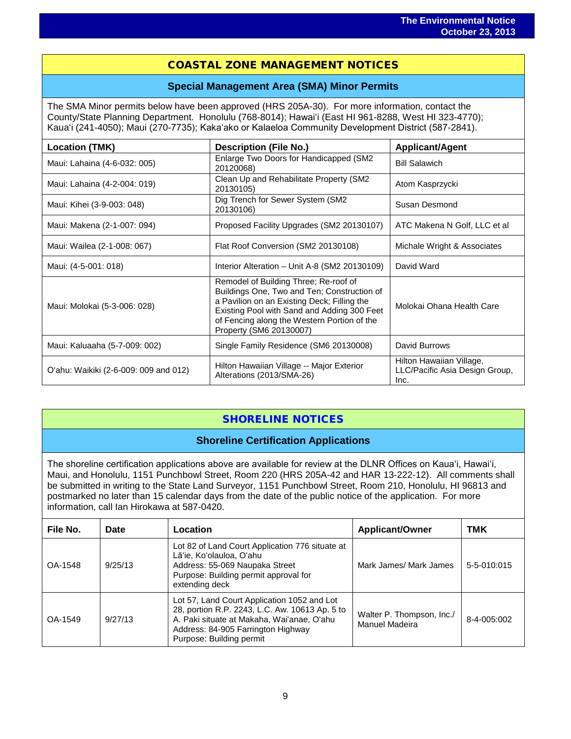## COASTAL ZONE MANAGEMENT NOTICES

#### **Special Management Area (SMA) Minor Permits**

The SMA Minor permits below have been approved (HRS 205A-30). For more information, contact the County/State Planning Department. Honolulu (768-8014); Hawaiʻi (East HI 961-8288, West HI 323-4770); Kauaʻi (241-4050); Maui (270-7735); Kakaʻako or Kalaeloa Community Development District (587-2841).

| <b>Location (TMK)</b>                 | <b>Description (File No.)</b>                                                                                                                                                                                                                                | <b>Applicant/Agent</b>                                             |  |
|---------------------------------------|--------------------------------------------------------------------------------------------------------------------------------------------------------------------------------------------------------------------------------------------------------------|--------------------------------------------------------------------|--|
| Maui: Lahaina (4-6-032: 005)          | Enlarge Two Doors for Handicapped (SM2<br>20120068)                                                                                                                                                                                                          | <b>Bill Salawich</b>                                               |  |
| Maui: Lahaina (4-2-004: 019)          | Clean Up and Rehabilitate Property (SM2<br>20130105)                                                                                                                                                                                                         | Atom Kasprzycki                                                    |  |
| Maui: Kihei (3-9-003: 048)            | Dig Trench for Sewer System (SM2<br>20130106)                                                                                                                                                                                                                | Susan Desmond                                                      |  |
| Maui: Makena (2-1-007: 094)           | Proposed Facility Upgrades (SM2 20130107)                                                                                                                                                                                                                    | ATC Makena N Golf, LLC et al                                       |  |
| Maui: Wailea (2-1-008: 067)           | Flat Roof Conversion (SM2 20130108)                                                                                                                                                                                                                          | Michale Wright & Associates                                        |  |
| Maui: (4-5-001: 018)                  | Interior Alteration - Unit A-8 (SM2 20130109)                                                                                                                                                                                                                | David Ward                                                         |  |
| Maui: Molokai (5-3-006: 028)          | Remodel of Building Three; Re-roof of<br>Buildings One, Two and Ten; Construction of<br>a Pavilion on an Existing Deck; Filling the<br>Existing Pool with Sand and Adding 300 Feet<br>of Fencing along the Western Portion of the<br>Property (SM6 20130007) | Molokai Ohana Health Care                                          |  |
| Maui: Kaluaaha (5-7-009: 002)         | Single Family Residence (SM6 20130008)                                                                                                                                                                                                                       | David Burrows                                                      |  |
| O'ahu: Waikiki (2-6-009: 009 and 012) | Hilton Hawaiian Village -- Major Exterior<br>Alterations (2013/SMA-26)                                                                                                                                                                                       | Hilton Hawaiian Village,<br>LLC/Pacific Asia Design Group,<br>Inc. |  |

## SHORELINE NOTICES

## **Shoreline Certification Applications**

The shoreline certification applications above are available for review at the DLNR Offices on Kauaʻi, Hawaiʻi, Maui, and Honolulu, 1151 Punchbowl Street, Room 220 (HRS 205A-42 and HAR 13-222-12). All comments shall be submitted in writing to the State Land Surveyor, 1151 Punchbowl Street, Room 210, Honolulu, HI 96813 and postmarked no later than 15 calendar days from the date of the public notice of the application. For more information, call Ian Hirokawa at 587-0420.

| File No. | Date    | Location                                                                                                                                                                                                      | <b>Applicant/Owner</b>                      | TMK         |
|----------|---------|---------------------------------------------------------------------------------------------------------------------------------------------------------------------------------------------------------------|---------------------------------------------|-------------|
| OA-1548  | 9/25/13 | Lot 82 of Land Court Application 776 situate at<br>Lā'ie, Ko'olauloa, O'ahu<br>Address: 55-069 Naupaka Street<br>Purpose: Building permit approval for<br>extending deck                                      | Mark James/ Mark James                      | 5-5-010:015 |
| OA-1549  | 9/27/13 | Lot 57, Land Court Application 1052 and Lot<br>28, portion R.P. 2243, L.C. Aw. 10613 Ap. 5 to<br>A. Paki situate at Makaha, Wai'anae, O'ahu<br>Address: 84-905 Farrington Highway<br>Purpose: Building permit | Walter P. Thompson, Inc./<br>Manuel Madeira | 8-4-005:002 |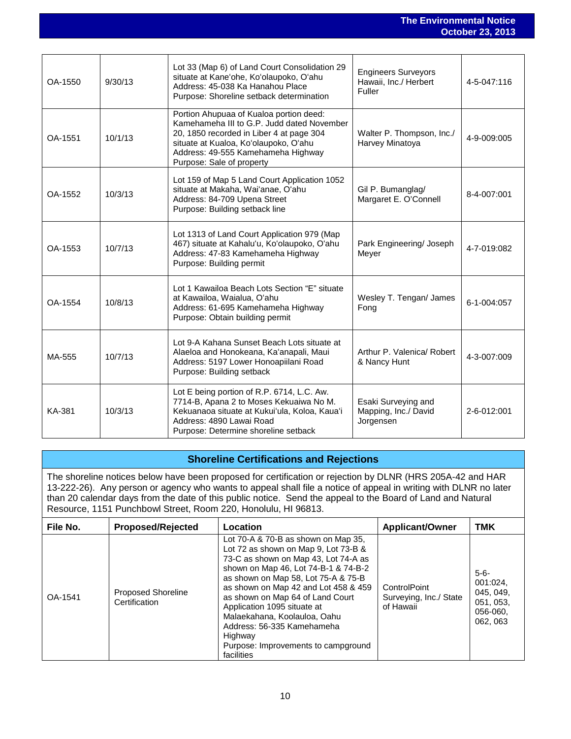| OA-1550 | 9/30/13 | Lot 33 (Map 6) of Land Court Consolidation 29<br>situate at Kane'ohe, Ko'olaupoko, O'ahu<br>Address: 45-038 Ka Hanahou Place<br>Purpose: Shoreline setback determination                                                                      | <b>Engineers Surveyors</b><br>Hawaii, Inc./ Herbert<br>Fuller | 4-5-047:116 |
|---------|---------|-----------------------------------------------------------------------------------------------------------------------------------------------------------------------------------------------------------------------------------------------|---------------------------------------------------------------|-------------|
| OA-1551 | 10/1/13 | Portion Ahupuaa of Kualoa portion deed:<br>Kamehameha III to G.P. Judd dated November<br>20, 1850 recorded in Liber 4 at page 304<br>situate at Kualoa, Ko'olaupoko, O'ahu<br>Address: 49-555 Kamehameha Highway<br>Purpose: Sale of property | Walter P. Thompson, Inc./<br>Harvey Minatoya                  | 4-9-009:005 |
| OA-1552 | 10/3/13 | Lot 159 of Map 5 Land Court Application 1052<br>situate at Makaha, Wai'anae, O'ahu<br>Address: 84-709 Upena Street<br>Purpose: Building setback line                                                                                          | Gil P. Bumanglag/<br>Margaret E. O'Connell                    | 8-4-007:001 |
| OA-1553 | 10/7/13 | Lot 1313 of Land Court Application 979 (Map<br>467) situate at Kahalu'u, Ko'olaupoko, O'ahu<br>Address: 47-83 Kamehameha Highway<br>Purpose: Building permit                                                                                  | Park Engineering/ Joseph<br>Meyer                             | 4-7-019:082 |
| OA-1554 | 10/8/13 | Lot 1 Kawailoa Beach Lots Section "E" situate<br>at Kawailoa, Waialua, O'ahu<br>Address: 61-695 Kamehameha Highway<br>Purpose: Obtain building permit                                                                                         | Wesley T. Tengan/ James<br>Fong                               | 6-1-004:057 |
| MA-555  | 10/7/13 | Lot 9-A Kahana Sunset Beach Lots situate at<br>Alaeloa and Honokeana, Ka'anapali, Maui<br>Address: 5197 Lower Honoapiilani Road<br>Purpose: Building setback                                                                                  | Arthur P. Valenica/ Robert<br>& Nancy Hunt                    | 4-3-007:009 |
| KA-381  | 10/3/13 | Lot E being portion of R.P. 6714, L.C. Aw.<br>7714-B, Apana 2 to Moses Kekuaiwa No M.<br>Kekuanaoa situate at Kukui'ula, Koloa, Kaua'i<br>Address: 4890 Lawai Road<br>Purpose: Determine shoreline setback                                    | Esaki Surveying and<br>Mapping, Inc./ David<br>Jorgensen      | 2-6-012:001 |

## **Shoreline Certifications and Rejections**

The shoreline notices below have been proposed for certification or rejection by DLNR (HRS 205A-42 and HAR 13-222-26). Any person or agency who wants to appeal shall file a notice of appeal in writing with DLNR no later than 20 calendar days from the date of this public notice. Send the appeal to the Board of Land and Natural Resource, 1151 Punchbowl Street, Room 220, Honolulu, HI 96813.

| File No. | <b>Proposed/Rejected</b>                   | Location                                                                                                                                                                                                                                                                                                                                                                                                                                    | <b>Applicant/Owner</b>                              | <b>TMK</b>                                                              |
|----------|--------------------------------------------|---------------------------------------------------------------------------------------------------------------------------------------------------------------------------------------------------------------------------------------------------------------------------------------------------------------------------------------------------------------------------------------------------------------------------------------------|-----------------------------------------------------|-------------------------------------------------------------------------|
| OA-1541  | <b>Proposed Shoreline</b><br>Certification | Lot 70-A & 70-B as shown on Map 35,<br>Lot 72 as shown on Map 9, Lot 73-B &<br>73-C as shown on Map 43, Lot 74-A as<br>shown on Map 46, Lot 74-B-1 & 74-B-2<br>as shown on Map 58, Lot 75-A & 75-B<br>as shown on Map 42 and Lot 458 & 459<br>as shown on Map 64 of Land Court<br>Application 1095 situate at<br>Malaekahana, Koolauloa, Oahu<br>Address: 56-335 Kamehameha<br>Highway<br>Purpose: Improvements to campground<br>facilities | ControlPoint<br>Surveying, Inc./ State<br>of Hawaii | $5 - 6 -$<br>001:024,<br>045, 049,<br>051, 053,<br>056-060.<br>062, 063 |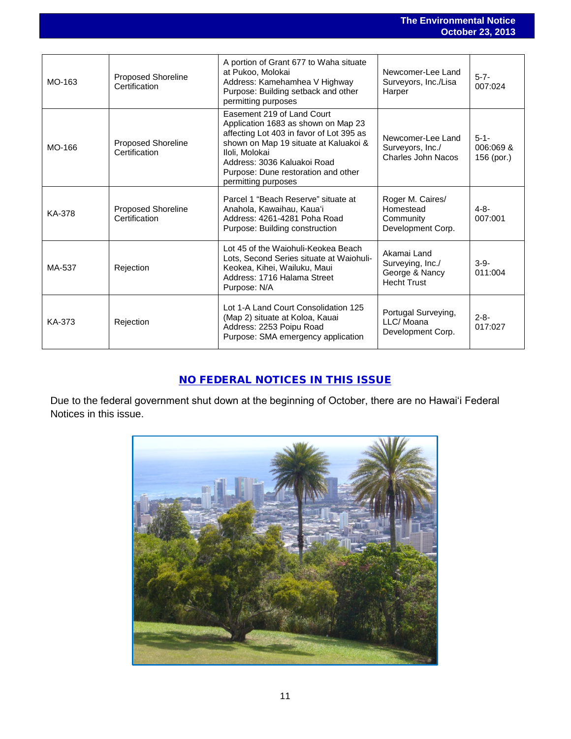|               |                                            |                                                                                                                                                                                                                                                                       |                                                                         | $0.0001$ av, av                      |
|---------------|--------------------------------------------|-----------------------------------------------------------------------------------------------------------------------------------------------------------------------------------------------------------------------------------------------------------------------|-------------------------------------------------------------------------|--------------------------------------|
|               |                                            |                                                                                                                                                                                                                                                                       |                                                                         |                                      |
| MO-163        | <b>Proposed Shoreline</b><br>Certification | A portion of Grant 677 to Waha situate<br>at Pukoo, Molokai<br>Address: Kamehamhea V Highway<br>Purpose: Building setback and other<br>permitting purposes                                                                                                            | Newcomer-Lee Land<br>Surveyors, Inc./Lisa<br>Harper                     | $5 - 7 -$<br>007:024                 |
| MO-166        | <b>Proposed Shoreline</b><br>Certification | Easement 219 of Land Court<br>Application 1683 as shown on Map 23<br>affecting Lot 403 in favor of Lot 395 as<br>shown on Map 19 situate at Kaluakoi &<br>Iloli, Molokai<br>Address: 3036 Kaluakoi Road<br>Purpose: Dune restoration and other<br>permitting purposes | Newcomer-Lee Land<br>Surveyors, Inc./<br>Charles John Nacos             | $5 - 1 -$<br>006:069 &<br>156 (por.) |
| <b>KA-378</b> | Proposed Shoreline<br>Certification        | Parcel 1 "Beach Reserve" situate at<br>Anahola, Kawaihau, Kaua'i<br>Address: 4261-4281 Poha Road<br>Purpose: Building construction                                                                                                                                    | Roger M. Caires/<br>Homestead<br>Community<br>Development Corp.         | $4 - 8 -$<br>007:001                 |
| MA-537        | Rejection                                  | Lot 45 of the Waiohuli-Keokea Beach<br>Lots, Second Series situate at Waiohuli-<br>Keokea, Kihei, Wailuku, Maui<br>Address: 1716 Halama Street<br>Purpose: N/A                                                                                                        | Akamai Land<br>Surveying, Inc./<br>George & Nancy<br><b>Hecht Trust</b> | $3-9-$<br>011:004                    |
| KA-373        | Rejection                                  | Lot 1-A Land Court Consolidation 125<br>(Map 2) situate at Koloa, Kauai<br>Address: 2253 Poipu Road<br>Purpose: SMA emergency application                                                                                                                             | Portugal Surveying,<br>LLC/Moana<br>Development Corp.                   | $2 - 8 -$<br>017:027                 |

## NO FEDERAL NOTICES IN THIS ISSUE

Due to the federal government shut down at the beginning of October, there are no Hawaiʻi Federal Notices in this issue.